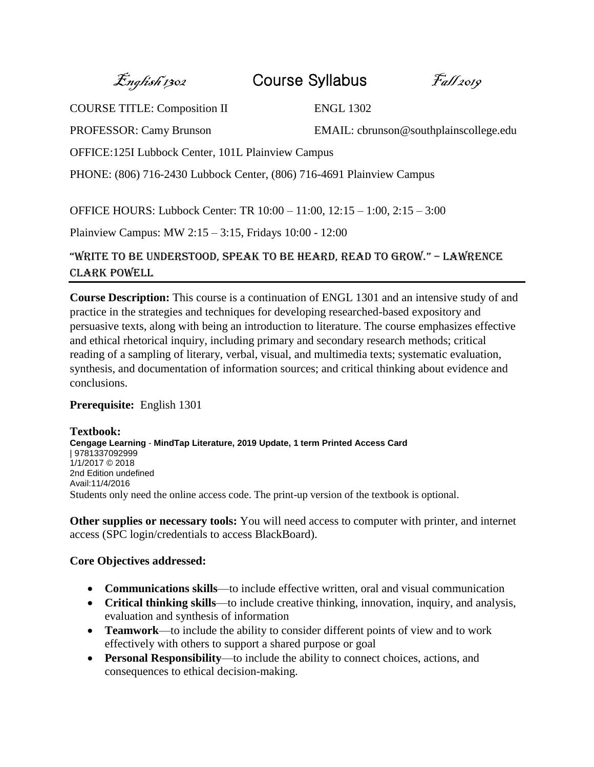$\mathcal{E}_{\textit{nglish 1302}}$  Course Syllabus  $\mathcal{F}_{\textit{all 2019}}$ 

COURSE TITLE: Composition II ENGL 1302

PROFESSOR: Camy Brunson EMAIL: cbrunson@southplainscollege.edu

OFFICE:125I Lubbock Center, 101L Plainview Campus

PHONE: (806) 716-2430 Lubbock Center, (806) 716-4691 Plainview Campus

OFFICE HOURS: Lubbock Center: TR 10:00 – 11:00, 12:15 – 1:00, 2:15 – 3:00

Plainview Campus: MW 2:15 – 3:15, Fridays 10:00 - 12:00

"Write to be understood, speak to be heard, read to groW." – Lawrence Clark Powell

**Course Description:** This course is a continuation of ENGL 1301 and an intensive study of and practice in the strategies and techniques for developing researched-based expository and persuasive texts, along with being an introduction to literature. The course emphasizes effective and ethical rhetorical inquiry, including primary and secondary research methods; critical reading of a sampling of literary, verbal, visual, and multimedia texts; systematic evaluation, synthesis, and documentation of information sources; and critical thinking about evidence and conclusions.

# **Prerequisite:** English 1301

**Textbook: Cengage Learning** - **MindTap Literature, 2019 Update, 1 term Printed Access Card** | 9781337092999 1/1/2017 © 2018 2nd Edition undefined Avail:11/4/2016 Students only need the online access code. The print-up version of the textbook is optional.

**Other supplies or necessary tools:** You will need access to computer with printer, and internet access (SPC login/credentials to access BlackBoard).

# **Core Objectives addressed:**

- **Communications skills**—to include effective written, oral and visual communication
- **Critical thinking skills**—to include creative thinking, innovation, inquiry, and analysis, evaluation and synthesis of information
- **Teamwork**—to include the ability to consider different points of view and to work effectively with others to support a shared purpose or goal
- **Personal Responsibility**—to include the ability to connect choices, actions, and consequences to ethical decision-making.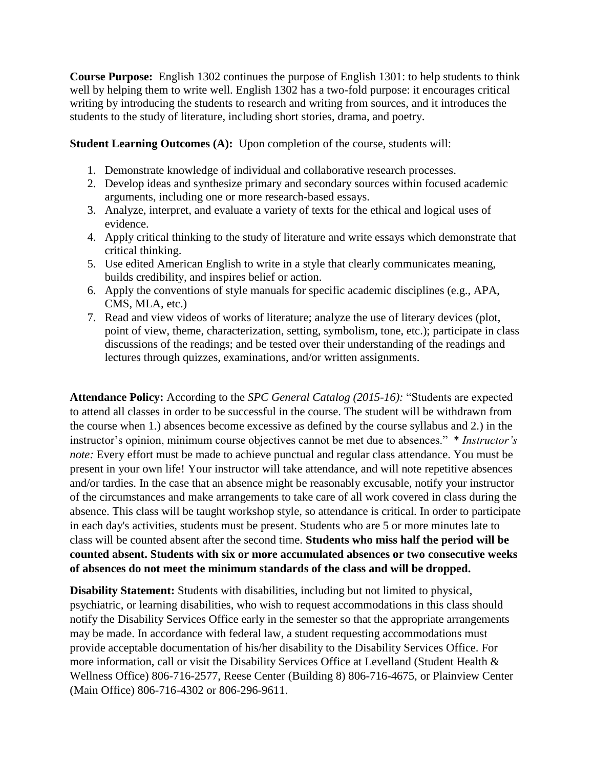**Course Purpose:** English 1302 continues the purpose of English 1301: to help students to think well by helping them to write well. English 1302 has a two-fold purpose: it encourages critical writing by introducing the students to research and writing from sources, and it introduces the students to the study of literature, including short stories, drama, and poetry.

**Student Learning Outcomes (A):** Upon completion of the course, students will:

- 1. Demonstrate knowledge of individual and collaborative research processes.
- 2. Develop ideas and synthesize primary and secondary sources within focused academic arguments, including one or more research-based essays.
- 3. Analyze, interpret, and evaluate a variety of texts for the ethical and logical uses of evidence.
- 4. Apply critical thinking to the study of literature and write essays which demonstrate that critical thinking.
- 5. Use edited American English to write in a style that clearly communicates meaning, builds credibility, and inspires belief or action.
- 6. Apply the conventions of style manuals for specific academic disciplines (e.g., APA, CMS, MLA, etc.)
- 7. Read and view videos of works of literature; analyze the use of literary devices (plot, point of view, theme, characterization, setting, symbolism, tone, etc.); participate in class discussions of the readings; and be tested over their understanding of the readings and lectures through quizzes, examinations, and/or written assignments.

**Attendance Policy:** According to the *SPC General Catalog (2015-16):* "Students are expected to attend all classes in order to be successful in the course. The student will be withdrawn from the course when 1.) absences become excessive as defined by the course syllabus and 2.) in the instructor's opinion, minimum course objectives cannot be met due to absences." \* *Instructor's note:* Every effort must be made to achieve punctual and regular class attendance. You must be present in your own life! Your instructor will take attendance, and will note repetitive absences and/or tardies. In the case that an absence might be reasonably excusable, notify your instructor of the circumstances and make arrangements to take care of all work covered in class during the absence. This class will be taught workshop style, so attendance is critical. In order to participate in each day's activities, students must be present. Students who are 5 or more minutes late to class will be counted absent after the second time. **Students who miss half the period will be counted absent. Students with six or more accumulated absences or two consecutive weeks of absences do not meet the minimum standards of the class and will be dropped.** 

**Disability Statement:** Students with disabilities, including but not limited to physical, psychiatric, or learning disabilities, who wish to request accommodations in this class should notify the Disability Services Office early in the semester so that the appropriate arrangements may be made. In accordance with federal law, a student requesting accommodations must provide acceptable documentation of his/her disability to the Disability Services Office. For more information, call or visit the Disability Services Office at Levelland (Student Health & Wellness Office) 806-716-2577, Reese Center (Building 8) 806-716-4675, or Plainview Center (Main Office) 806-716-4302 or 806-296-9611.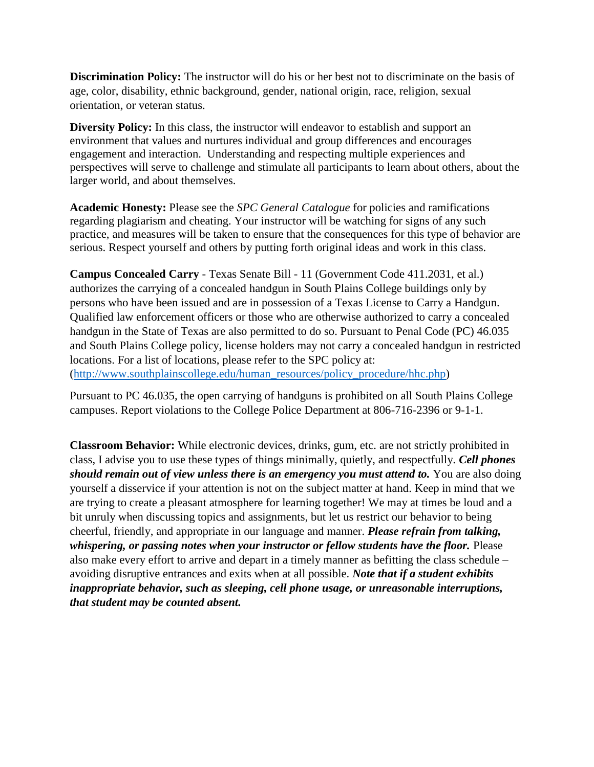**Discrimination Policy:** The instructor will do his or her best not to discriminate on the basis of age, color, disability, ethnic background, gender, national origin, race, religion, sexual orientation, or veteran status.

**Diversity Policy:** In this class, the instructor will endeavor to establish and support an environment that values and nurtures individual and group differences and encourages engagement and interaction. Understanding and respecting multiple experiences and perspectives will serve to challenge and stimulate all participants to learn about others, about the larger world, and about themselves.

**Academic Honesty:** Please see the *SPC General Catalogue* for policies and ramifications regarding plagiarism and cheating. Your instructor will be watching for signs of any such practice, and measures will be taken to ensure that the consequences for this type of behavior are serious. Respect yourself and others by putting forth original ideas and work in this class.

**Campus Concealed Carry** - Texas Senate Bill - 11 (Government Code 411.2031, et al.) authorizes the carrying of a concealed handgun in South Plains College buildings only by persons who have been issued and are in possession of a Texas License to Carry a Handgun. Qualified law enforcement officers or those who are otherwise authorized to carry a concealed handgun in the State of Texas are also permitted to do so. Pursuant to Penal Code (PC) 46.035 and South Plains College policy, license holders may not carry a concealed handgun in restricted locations. For a list of locations, please refer to the SPC policy at: [\(http://www.southplainscollege.edu/human\\_resources/policy\\_procedure/hhc.php\)](http://www.southplainscollege.edu/human_resources/policy_procedure/hhc.php)

Pursuant to PC 46.035, the open carrying of handguns is prohibited on all South Plains College campuses. Report violations to the College Police Department at 806-716-2396 or 9-1-1.

**Classroom Behavior:** While electronic devices, drinks, gum, etc. are not strictly prohibited in class, I advise you to use these types of things minimally, quietly, and respectfully. *Cell phones should remain out of view unless there is an emergency you must attend to. You are also doing* yourself a disservice if your attention is not on the subject matter at hand. Keep in mind that we are trying to create a pleasant atmosphere for learning together! We may at times be loud and a bit unruly when discussing topics and assignments, but let us restrict our behavior to being cheerful, friendly, and appropriate in our language and manner. *Please refrain from talking, whispering, or passing notes when your instructor or fellow students have the floor.* Please also make every effort to arrive and depart in a timely manner as befitting the class schedule – avoiding disruptive entrances and exits when at all possible. *Note that if a student exhibits inappropriate behavior, such as sleeping, cell phone usage, or unreasonable interruptions, that student may be counted absent.*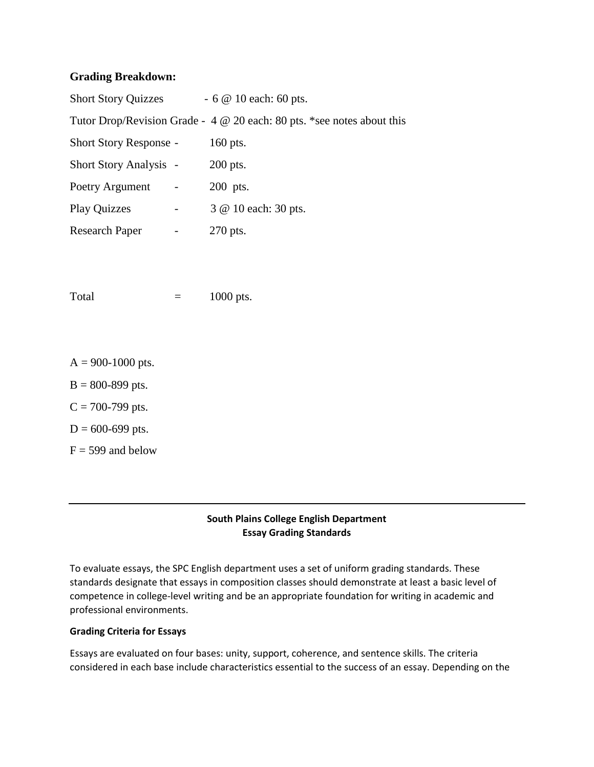### **Grading Breakdown:**

| <b>Short Story Quizzes</b>    |                          | $-6$ @ 10 each: 60 pts.                                                        |
|-------------------------------|--------------------------|--------------------------------------------------------------------------------|
|                               |                          | Tutor Drop/Revision Grade - $4 \otimes 20$ each: 80 pts. *see notes about this |
| <b>Short Story Response -</b> |                          | 160 pts.                                                                       |
| <b>Short Story Analysis -</b> |                          | $200$ pts.                                                                     |
| Poetry Argument               |                          | 200 pts.                                                                       |
| <b>Play Quizzes</b>           | $\overline{\phantom{a}}$ | 3 @ 10 each: 30 pts.                                                           |
| <b>Research Paper</b>         |                          | 270 pts.                                                                       |

Total  $=$  1000 pts.

- $A = 900 1000$  pts.
- $B = 800 899$  pts.
- $C = 700 799$  pts.
- $D = 600 699$  pts.
- $F = 599$  and below

### **South Plains College English Department Essay Grading Standards**

To evaluate essays, the SPC English department uses a set of uniform grading standards. These standards designate that essays in composition classes should demonstrate at least a basic level of competence in college-level writing and be an appropriate foundation for writing in academic and professional environments.

#### **Grading Criteria for Essays**

Essays are evaluated on four bases: unity, support, coherence, and sentence skills. The criteria considered in each base include characteristics essential to the success of an essay. Depending on the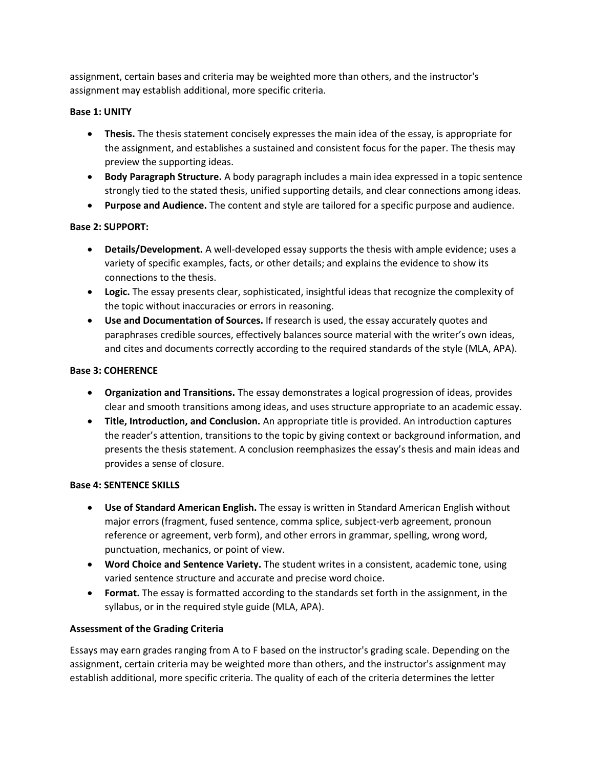assignment, certain bases and criteria may be weighted more than others, and the instructor's assignment may establish additional, more specific criteria.

#### **Base 1: UNITY**

- **Thesis.** The thesis statement concisely expresses the main idea of the essay, is appropriate for the assignment, and establishes a sustained and consistent focus for the paper. The thesis may preview the supporting ideas.
- **Body Paragraph Structure.** A body paragraph includes a main idea expressed in a topic sentence strongly tied to the stated thesis, unified supporting details, and clear connections among ideas.
- **Purpose and Audience.** The content and style are tailored for a specific purpose and audience.

#### **Base 2: SUPPORT:**

- **Details/Development.** A well-developed essay supports the thesis with ample evidence; uses a variety of specific examples, facts, or other details; and explains the evidence to show its connections to the thesis.
- **Logic.** The essay presents clear, sophisticated, insightful ideas that recognize the complexity of the topic without inaccuracies or errors in reasoning.
- **Use and Documentation of Sources.** If research is used, the essay accurately quotes and paraphrases credible sources, effectively balances source material with the writer's own ideas, and cites and documents correctly according to the required standards of the style (MLA, APA).

#### **Base 3: COHERENCE**

- **Organization and Transitions.** The essay demonstrates a logical progression of ideas, provides clear and smooth transitions among ideas, and uses structure appropriate to an academic essay.
- **Title, Introduction, and Conclusion.** An appropriate title is provided. An introduction captures the reader's attention, transitions to the topic by giving context or background information, and presents the thesis statement. A conclusion reemphasizes the essay's thesis and main ideas and provides a sense of closure.

#### **Base 4: SENTENCE SKILLS**

- **Use of Standard American English.** The essay is written in Standard American English without major errors (fragment, fused sentence, comma splice, subject-verb agreement, pronoun reference or agreement, verb form), and other errors in grammar, spelling, wrong word, punctuation, mechanics, or point of view.
- **Word Choice and Sentence Variety.** The student writes in a consistent, academic tone, using varied sentence structure and accurate and precise word choice.
- **Format.** The essay is formatted according to the standards set forth in the assignment, in the syllabus, or in the required style guide (MLA, APA).

### **Assessment of the Grading Criteria**

Essays may earn grades ranging from A to F based on the instructor's grading scale. Depending on the assignment, certain criteria may be weighted more than others, and the instructor's assignment may establish additional, more specific criteria. The quality of each of the criteria determines the letter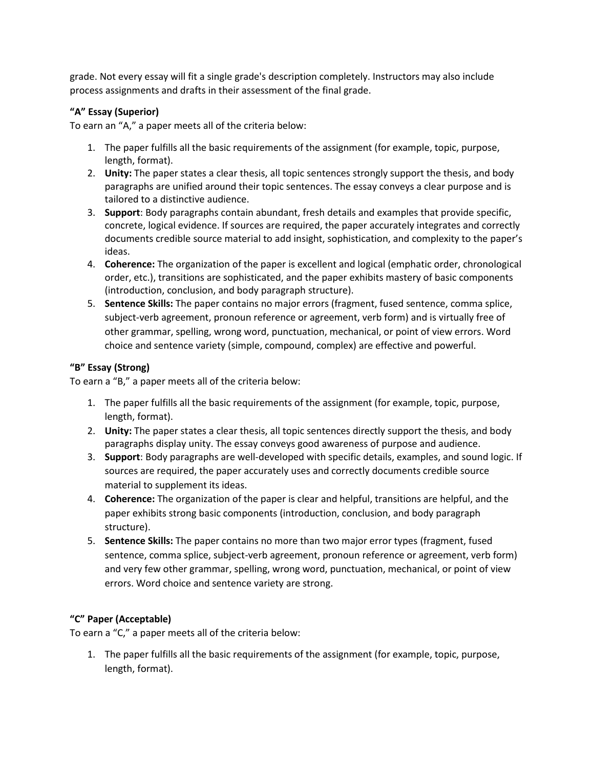grade. Not every essay will fit a single grade's description completely. Instructors may also include process assignments and drafts in their assessment of the final grade.

### **"A" Essay (Superior)**

To earn an "A," a paper meets all of the criteria below:

- 1. The paper fulfills all the basic requirements of the assignment (for example, topic, purpose, length, format).
- 2. **Unity:** The paper states a clear thesis, all topic sentences strongly support the thesis, and body paragraphs are unified around their topic sentences. The essay conveys a clear purpose and is tailored to a distinctive audience.
- 3. **Support**: Body paragraphs contain abundant, fresh details and examples that provide specific, concrete, logical evidence. If sources are required, the paper accurately integrates and correctly documents credible source material to add insight, sophistication, and complexity to the paper's ideas.
- 4. **Coherence:** The organization of the paper is excellent and logical (emphatic order, chronological order, etc.), transitions are sophisticated, and the paper exhibits mastery of basic components (introduction, conclusion, and body paragraph structure).
- 5. **Sentence Skills:** The paper contains no major errors (fragment, fused sentence, comma splice, subject-verb agreement, pronoun reference or agreement, verb form) and is virtually free of other grammar, spelling, wrong word, punctuation, mechanical, or point of view errors. Word choice and sentence variety (simple, compound, complex) are effective and powerful.

### **"B" Essay (Strong)**

To earn a "B," a paper meets all of the criteria below:

- 1. The paper fulfills all the basic requirements of the assignment (for example, topic, purpose, length, format).
- 2. **Unity:** The paper states a clear thesis, all topic sentences directly support the thesis, and body paragraphs display unity. The essay conveys good awareness of purpose and audience.
- 3. **Support**: Body paragraphs are well-developed with specific details, examples, and sound logic. If sources are required, the paper accurately uses and correctly documents credible source material to supplement its ideas.
- 4. **Coherence:** The organization of the paper is clear and helpful, transitions are helpful, and the paper exhibits strong basic components (introduction, conclusion, and body paragraph structure).
- 5. **Sentence Skills:** The paper contains no more than two major error types (fragment, fused sentence, comma splice, subject-verb agreement, pronoun reference or agreement, verb form) and very few other grammar, spelling, wrong word, punctuation, mechanical, or point of view errors. Word choice and sentence variety are strong.

### **"C" Paper (Acceptable)**

To earn a "C," a paper meets all of the criteria below:

1. The paper fulfills all the basic requirements of the assignment (for example, topic, purpose, length, format).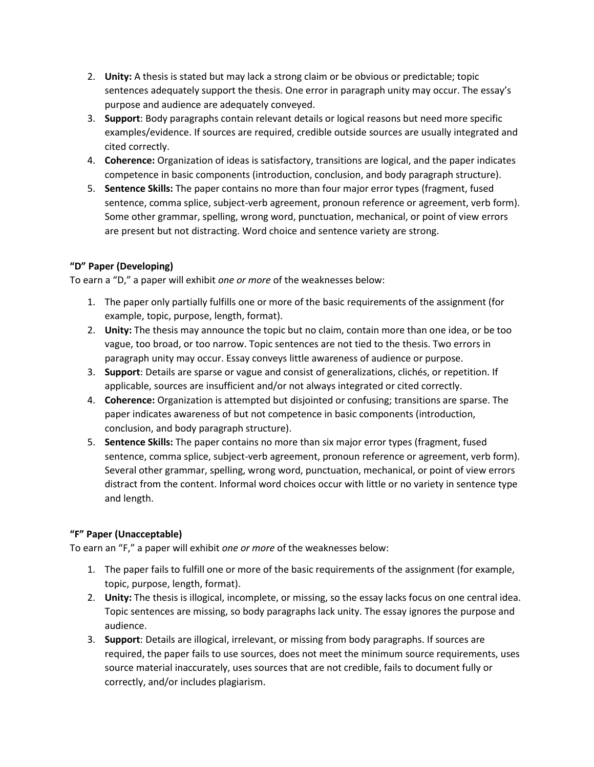- 2. **Unity:** A thesis is stated but may lack a strong claim or be obvious or predictable; topic sentences adequately support the thesis. One error in paragraph unity may occur. The essay's purpose and audience are adequately conveyed.
- 3. **Support**: Body paragraphs contain relevant details or logical reasons but need more specific examples/evidence. If sources are required, credible outside sources are usually integrated and cited correctly.
- 4. **Coherence:** Organization of ideas is satisfactory, transitions are logical, and the paper indicates competence in basic components (introduction, conclusion, and body paragraph structure).
- 5. **Sentence Skills:** The paper contains no more than four major error types (fragment, fused sentence, comma splice, subject-verb agreement, pronoun reference or agreement, verb form). Some other grammar, spelling, wrong word, punctuation, mechanical, or point of view errors are present but not distracting. Word choice and sentence variety are strong.

## **"D" Paper (Developing)**

To earn a "D," a paper will exhibit *one or more* of the weaknesses below:

- 1. The paper only partially fulfills one or more of the basic requirements of the assignment (for example, topic, purpose, length, format).
- 2. **Unity:** The thesis may announce the topic but no claim, contain more than one idea, or be too vague, too broad, or too narrow. Topic sentences are not tied to the thesis. Two errors in paragraph unity may occur. Essay conveys little awareness of audience or purpose.
- 3. **Support**: Details are sparse or vague and consist of generalizations, clichés, or repetition. If applicable, sources are insufficient and/or not always integrated or cited correctly.
- 4. **Coherence:** Organization is attempted but disjointed or confusing; transitions are sparse. The paper indicates awareness of but not competence in basic components (introduction, conclusion, and body paragraph structure).
- 5. **Sentence Skills:** The paper contains no more than six major error types (fragment, fused sentence, comma splice, subject-verb agreement, pronoun reference or agreement, verb form). Several other grammar, spelling, wrong word, punctuation, mechanical, or point of view errors distract from the content. Informal word choices occur with little or no variety in sentence type and length.

### **"F" Paper (Unacceptable)**

To earn an "F," a paper will exhibit *one or more* of the weaknesses below:

- 1. The paper fails to fulfill one or more of the basic requirements of the assignment (for example, topic, purpose, length, format).
- 2. **Unity:** The thesis is illogical, incomplete, or missing, so the essay lacks focus on one central idea. Topic sentences are missing, so body paragraphs lack unity. The essay ignores the purpose and audience.
- 3. **Support**: Details are illogical, irrelevant, or missing from body paragraphs. If sources are required, the paper fails to use sources, does not meet the minimum source requirements, uses source material inaccurately, uses sources that are not credible, fails to document fully or correctly, and/or includes plagiarism.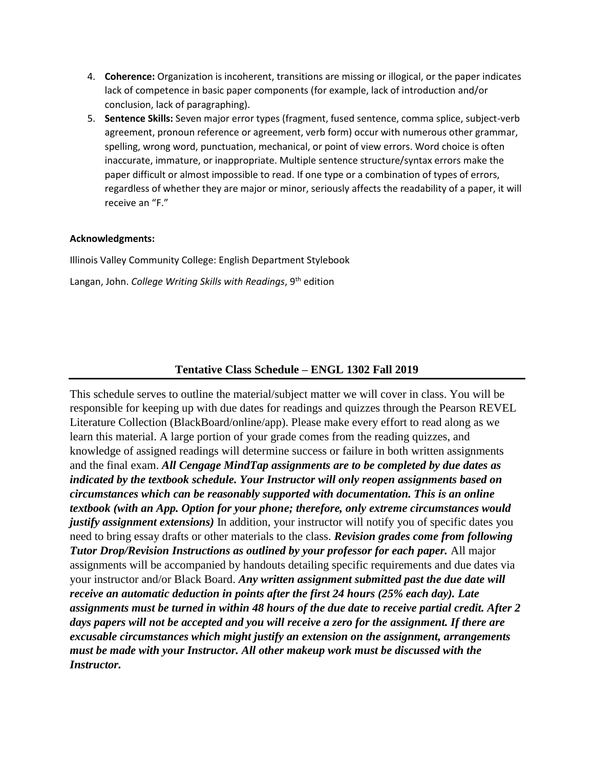- 4. **Coherence:** Organization is incoherent, transitions are missing or illogical, or the paper indicates lack of competence in basic paper components (for example, lack of introduction and/or conclusion, lack of paragraphing).
- 5. **Sentence Skills:** Seven major error types (fragment, fused sentence, comma splice, subject-verb agreement, pronoun reference or agreement, verb form) occur with numerous other grammar, spelling, wrong word, punctuation, mechanical, or point of view errors. Word choice is often inaccurate, immature, or inappropriate. Multiple sentence structure/syntax errors make the paper difficult or almost impossible to read. If one type or a combination of types of errors, regardless of whether they are major or minor, seriously affects the readability of a paper, it will receive an "F."

#### **Acknowledgments:**

Illinois Valley Community College: English Department Stylebook

Langan, John. *College Writing Skills with Readings*, 9th edition

### **Tentative Class Schedule – ENGL 1302 Fall 2019**

This schedule serves to outline the material/subject matter we will cover in class. You will be responsible for keeping up with due dates for readings and quizzes through the Pearson REVEL Literature Collection (BlackBoard/online/app). Please make every effort to read along as we learn this material. A large portion of your grade comes from the reading quizzes, and knowledge of assigned readings will determine success or failure in both written assignments and the final exam. *All Cengage MindTap assignments are to be completed by due dates as indicated by the textbook schedule. Your Instructor will only reopen assignments based on circumstances which can be reasonably supported with documentation. This is an online textbook (with an App. Option for your phone; therefore, only extreme circumstances would justify assignment extensions*) In addition, your instructor will notify you of specific dates you need to bring essay drafts or other materials to the class. *Revision grades come from following Tutor Drop/Revision Instructions as outlined by your professor for each paper.* All major assignments will be accompanied by handouts detailing specific requirements and due dates via your instructor and/or Black Board. *Any written assignment submitted past the due date will receive an automatic deduction in points after the first 24 hours (25% each day). Late assignments must be turned in within 48 hours of the due date to receive partial credit. After 2 days papers will not be accepted and you will receive a zero for the assignment. If there are excusable circumstances which might justify an extension on the assignment, arrangements must be made with your Instructor. All other makeup work must be discussed with the Instructor.*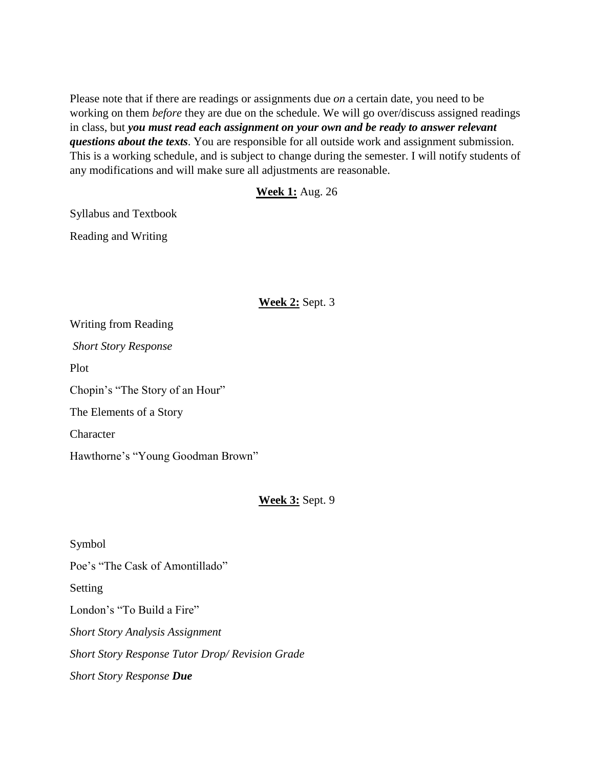Please note that if there are readings or assignments due *on* a certain date, you need to be working on them *before* they are due on the schedule. We will go over/discuss assigned readings in class, but *you must read each assignment on your own and be ready to answer relevant questions about the texts*. You are responsible for all outside work and assignment submission. This is a working schedule, and is subject to change during the semester. I will notify students of any modifications and will make sure all adjustments are reasonable.

### **Week 1:** Aug. 26

Syllabus and Textbook

Reading and Writing

## **Week 2:** Sept. 3

Writing from Reading *Short Story Response* Plot Chopin's "The Story of an Hour" The Elements of a Story **Character** Hawthorne's "Young Goodman Brown"

# **Week 3:** Sept. 9

Symbol

Poe's "The Cask of Amontillado"

Setting

London's "To Build a Fire" *Short Story Analysis Assignment Short Story Response Tutor Drop/ Revision Grade Short Story Response Due*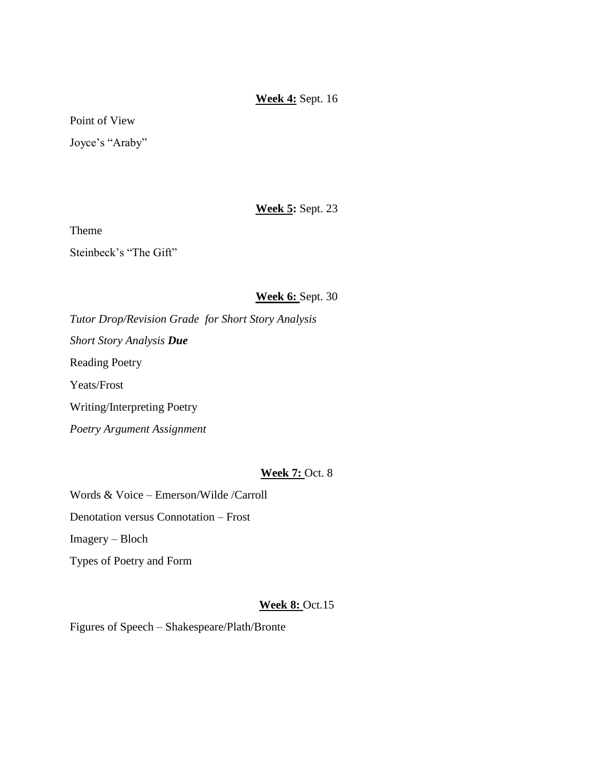# **Week 4:** Sept. 16

Point of View

Joyce's "Araby"

# **Week 5:** Sept. 23

Theme

Steinbeck's "The Gift"

## **Week 6:** Sept. 30

*Tutor Drop/Revision Grade for Short Story Analysis Short Story Analysis Due* Reading Poetry Yeats/Frost Writing/Interpreting Poetry *Poetry Argument Assignment*

# **Week 7:** Oct. 8

Words & Voice – Emerson/Wilde /Carroll Denotation versus Connotation – Frost Imagery – Bloch Types of Poetry and Form

# **Week 8:** Oct.15

Figures of Speech – Shakespeare/Plath/Bronte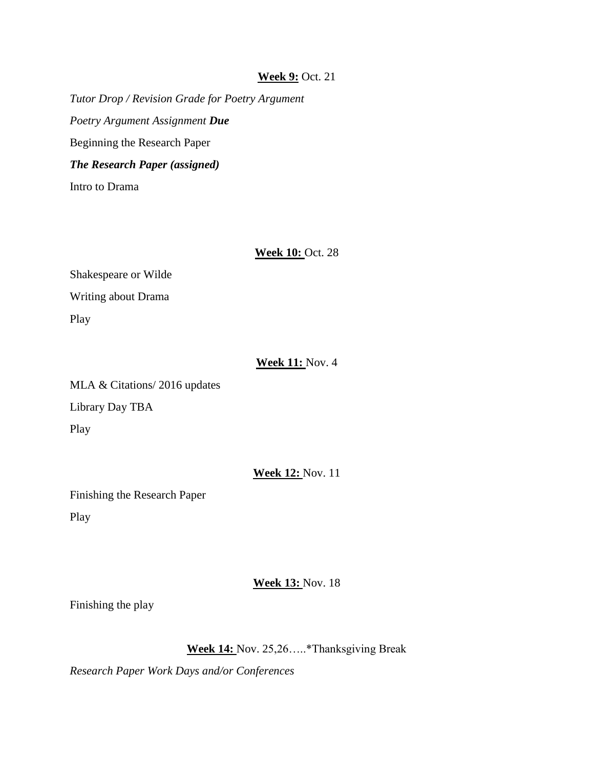### **Week 9:** Oct. 21

*Tutor Drop / Revision Grade for Poetry Argument Poetry Argument Assignment Due* Beginning the Research Paper *The Research Paper (assigned)* Intro to Drama

**Week 10:** Oct. 28

Shakespeare or Wilde Writing about Drama Play

### **Week 11:** Nov. 4

MLA & Citations/ 2016 updates Library Day TBA Play

#### **Week 12:** Nov. 11

Finishing the Research Paper Play

## **Week 13:** Nov. 18

Finishing the play

# **Week 14:** Nov. 25,26…..\*Thanksgiving Break

*Research Paper Work Days and/or Conferences*